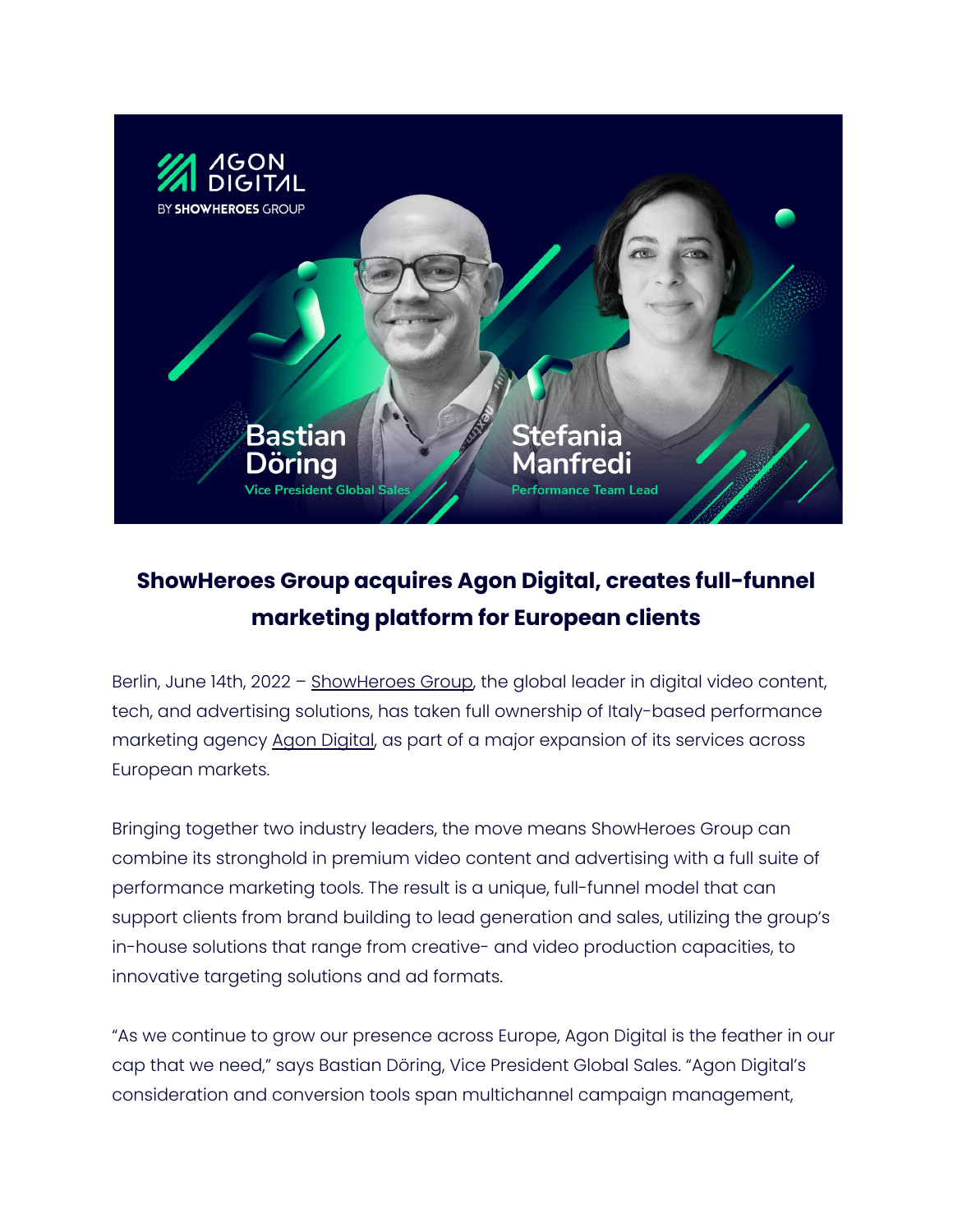

## **ShowHeroes Group acquires Agon Digital, creates full-funnel marketing platform for European clients**

Berlin, June 14th, 2022 - [ShowHeroes](https://showheroes.com/) Group, the global leader in digital video content, tech, and advertising solutions, has taken full ownership of Italy-based performance marketing agency Agon [Digital,](https://agondigital.com/) as part of a major expansion of its services across European markets.

Bringing together two industry leaders, the move means ShowHeroes Group can combine its stronghold in premium video content and advertising with a full suite of performance marketing tools. The result is a unique, full-funnel model that can support clients from brand building to lead generation and sales, utilizing the group's in-house solutions that range from creative- and video production capacities, to innovative targeting solutions and ad formats.

"As we continue to grow our presence across Europe, Agon Digital is the feather in our cap that we need," says Bastian Döring, Vice President Global Sales. "Agon Digital's consideration and conversion tools span multichannel campaign management,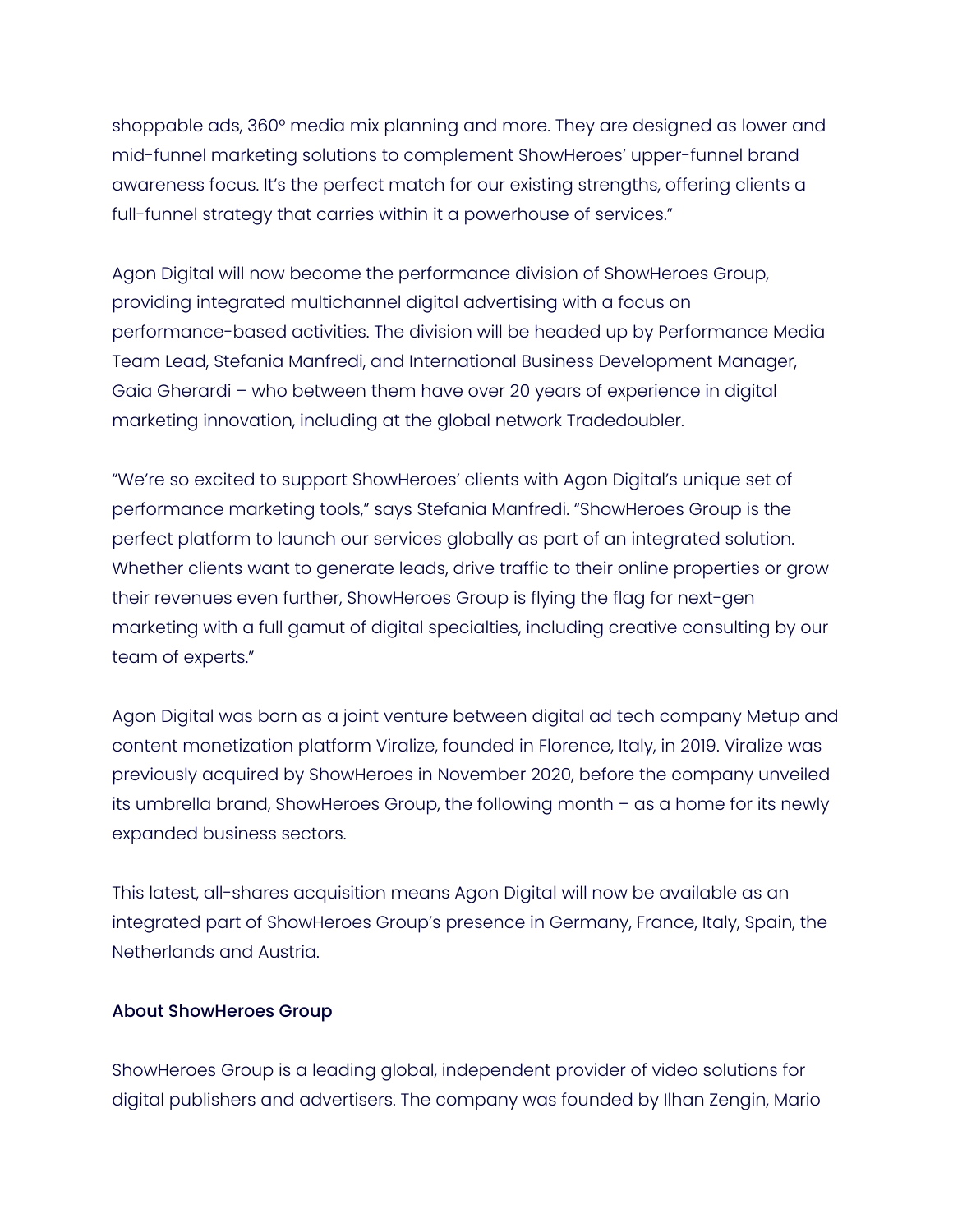shoppable ads, 360° media mix planning and more. They are designed as lower and mid-funnel marketing solutions to complement ShowHeroes' upper-funnel brand awareness focus. It's the perfect match for our existing strengths, offering clients a full-funnel strategy that carries within it a powerhouse of services."

Agon Digital will now become the performance division of ShowHeroes Group, providing integrated multichannel digital advertising with a focus on performance-based activities. The division will be headed up by Performance Media Team Lead, Stefania Manfredi, and International Business Development Manager, Gaia Gherardi – who between them have over 20 years of experience in digital marketing innovation, including at the global network Tradedoubler.

"We're so excited to support ShowHeroes' clients with Agon Digital's unique set of performance marketing tools," says Stefania Manfredi. "ShowHeroes Group is the perfect platform to launch our services globally as part of an integrated solution. Whether clients want to generate leads, drive traffic to their online properties or grow their revenues even further, ShowHeroes Group is flying the flag for next-gen marketing with a full gamut of digital specialties, including creative consulting by our team of experts."

Agon Digital was born as a joint venture between digital ad tech company Metup and content monetization platform Viralize, founded in Florence, Italy, in 2019. Viralize was previously acquired by ShowHeroes in November 2020, before the company unveiled its umbrella brand, ShowHeroes Group, the following month – as a home for its newly expanded business sectors.

This latest, all-shares acquisition means Agon Digital will now be available as an integrated part of ShowHeroes Group's presence in Germany, France, Italy, Spain, the Netherlands and Austria.

## About ShowHeroes Group

ShowHeroes Group is a leading global, independent provider of video solutions for digital publishers and advertisers. The company was founded by Ilhan Zengin, Mario